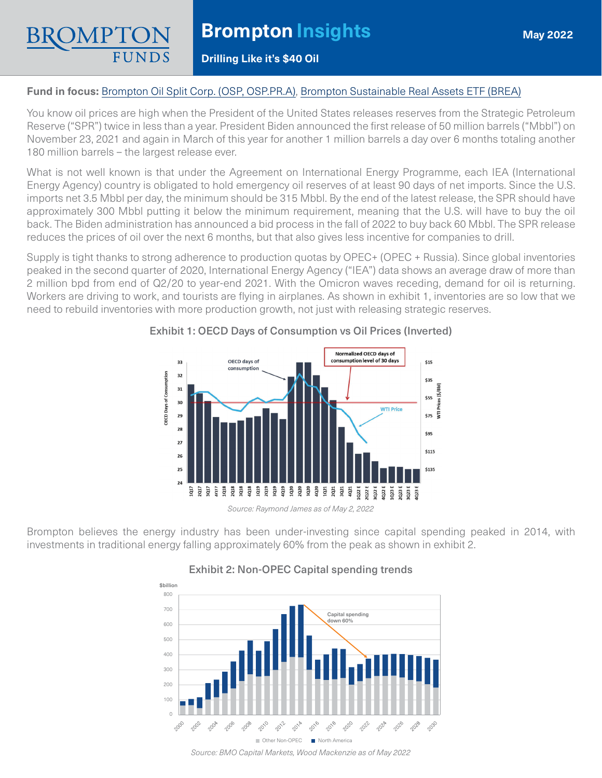### **Drilling Like it's \$40 Oil**

### **Fund in focus:** [Brompton Oil Split Corp. \(OSP, OSP.PR.A\),](https://www.bromptongroup.com/product/brompton-oil-split-corp/) [Brompton Sustainable Real Assets ETF \(BREA\)](https://www.bromptongroup.com/product/brompton-sustainable-real-assets-dividend-etf/)

You know oil prices are high when the President of the United States releases reserves from the Strategic Petroleum Reserve ("SPR") twice in less than a year. President Biden announced the first release of 50 million barrels ("Mbbl") on November 23, 2021 and again in March of this year for another 1 million barrels a day over 6 months totaling another 180 million barrels – the largest release ever.

What is not well known is that under the Agreement on International Energy Programme, each IEA (International Energy Agency) country is obligated to hold emergency oil reserves of at least 90 days of net imports. Since the U.S. imports net 3.5 Mbbl per day, the minimum should be 315 Mbbl. By the end of the latest release, the SPR should have approximately 300 Mbbl putting it below the minimum requirement, meaning that the U.S. will have to buy the oil back. The Biden administration has announced a bid process in the fall of 2022 to buy back 60 Mbbl. The SPR release reduces the prices of oil over the next 6 months, but that also gives less incentive for companies to drill.

Supply is tight thanks to strong adherence to production quotas by OPEC+ (OPEC + Russia). Since global inventories peaked in the second quarter of 2020, International Energy Agency ("IEA") data shows an average draw of more than 2 million bpd from end of Q2/20 to year-end 2021. With the Omicron waves receding, demand for oil is returning. Workers are driving to work, and tourists are flying in airplanes. As shown in exhibit 1, inventories are so low that we need to rebuild inventories with more production growth, not just with releasing strategic reserves.



### Exhibit 1: OECD Days of Consumption vs Oil Prices (Inverted)

Brompton believes the energy industry has been under-investing since capital spending peaked in 2014, with investments in traditional energy falling approximately 60% from the peak as shown in exhibit 2.



#### Exhibit 2: Non-OPEC Capital spending trends

*Source: BMO Capital Markets, Wood Mackenzie as of May 2022*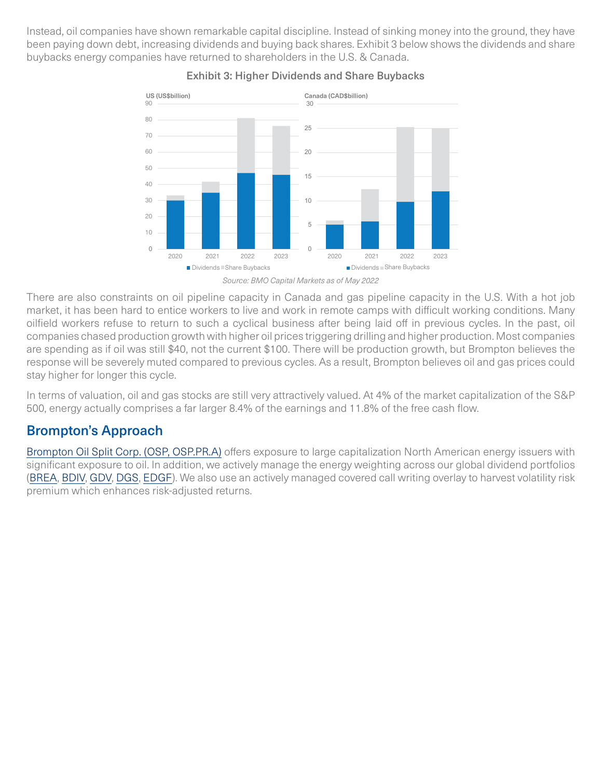Instead, oil companies have shown remarkable capital discipline. Instead of sinking money into the ground, they have been paying down debt, increasing dividends and buying back shares. Exhibit 3 below shows the dividends and share buybacks energy companies have returned to shareholders in the U.S. & Canada.



## Exhibit 3: Higher Dividends and Share Buybacks

There are also constraints on oil pipeline capacity in Canada and gas pipeline capacity in the U.S. With a hot job market, it has been hard to entice workers to live and work in remote camps with difficult working conditions. Many oilfield workers refuse to return to such a cyclical business after being laid off in previous cycles. In the past, oil companies chased production growth with higher oil prices triggering drilling and higher production. Most companies are spending as if oil was still \$40, not the current \$100. There will be production growth, but Brompton believes the response will be severely muted compared to previous cycles. As a result, Brompton believes oil and gas prices could stay higher for longer this cycle.

In terms of valuation, oil and gas stocks are still very attractively valued. At 4% of the market capitalization of the S&P 500, energy actually comprises a far larger 8.4% of the earnings and 11.8% of the free cash flow.

# Brompton's Approach

[Brompton Oil Split Corp. \(OSP, OSP.PR.A\)](https://www.bromptongroup.com/product/brompton-oil-split-corp/) offers exposure to large capitalization North American energy issuers with significant exposure to oil. In addition, we actively manage the energy weighting across our global dividend portfolios [\(BREA](https://www.bromptongroup.com/product/brompton-sustainable-real-assets-dividend-etf/), [BDIV,](https://www.bromptongroup.com/product/brompton-global-dividend-growth-etf/) [GDV](https://www.bromptongroup.com/product/global-dividend-growth-split-corp/), [DGS,](https://www.bromptongroup.com/product/dividend-growth-split-corp/) [EDGF](https://www.bromptongroup.com/product/european-dividend-growth-fund/)). We also use an actively managed covered call writing overlay to harvest volatility risk premium which enhances risk-adjusted returns.

*Source: BMO Capital Markets as of May 2022*